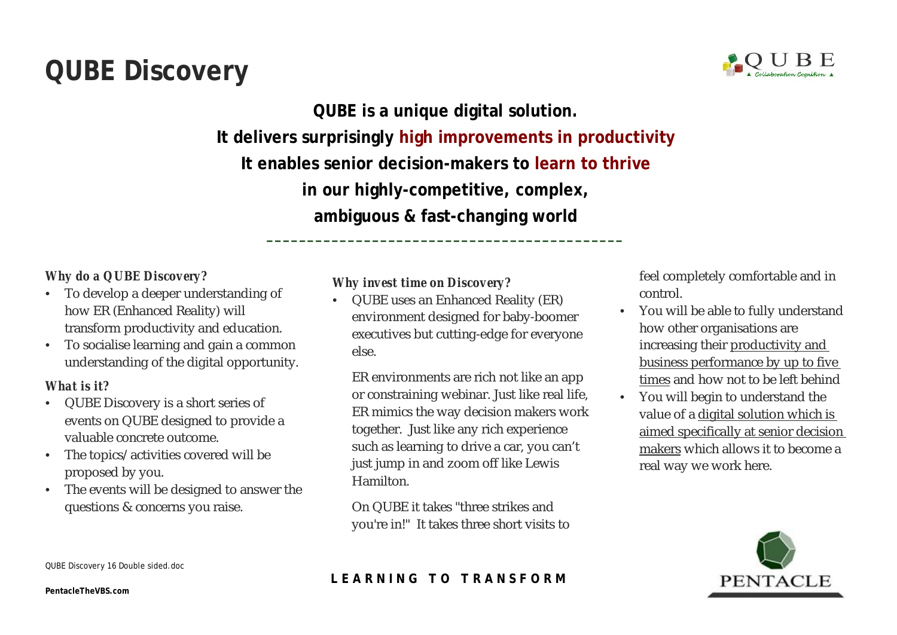# **QUBE Discovery**



**QUBE is a unique digital solution. It delivers surprisingly high improvements in productivity It enables senior decision-makers to learn to thrive in our highly-competitive, complex, ambiguous & fast-changing world**

*\_\_\_\_\_\_\_\_\_\_\_\_\_\_\_\_\_\_\_\_\_\_\_\_\_\_\_\_\_\_\_\_\_\_\_\_\_\_\_\_\_\_\_\_*

# *Why do a QUBE Discovery?*

- To develop a deeper understanding of how ER (Enhanced Reality) will transform productivity and education.
- To socialise learning and gain a common understanding of the digital opportunity.

#### *What is it?*

- QUBE Discovery is a short series of events on QUBE designed to provide a valuable concrete outcome.
- The topics/ activities covered will be proposed by you.
- The events will be designed to answer the questions & concerns you raise.

#### *Why invest time on Discovery?*

• QUBE uses an Enhanced Reality (ER) environment designed for baby-boomer executives but cutting-edge for everyone else.

ER environments are rich not like an app or constraining webinar. Just like real life, ER mimics the way decision makers work together. Just like any rich experience such as learning to drive a car, you can't just jump in and zoom off like Lewis Hamilton.

On QUBE it takes "three strikes and you're in!" It takes three short visits to

feel completely comfortable and in control.

- You will be able to fully understand how other organisations are increasing their productivity and business performance by up to five times and how not to be left behind
- You will begin to understand the value of a digital solution which is aimed specifically at senior decision makers which allows it to become a real way we work here.



# **L E A R N I N G T O T R A N S F O R M**

QUBE Discovery 16 Double sided.doc